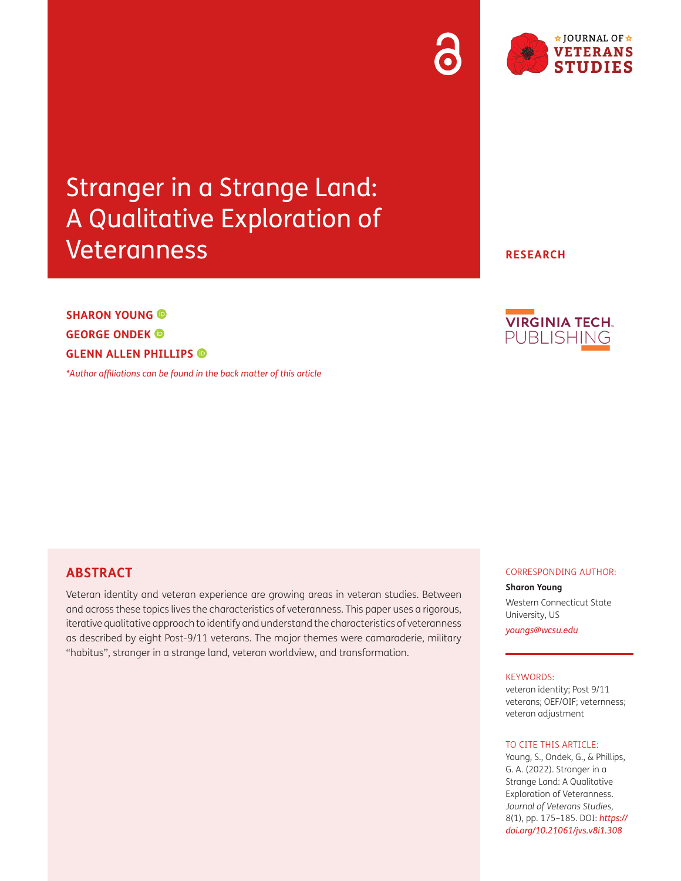# Stranger in a Strange Land: A Qualitative Exploration of Veteranness

## **SHARON YOUNG GEORGE ONDEK GLENN ALLEN PHILLIPS**

*[\\*Author affiliations can be found in the back matter of this article](#page-9-0)*

**ABSTRACT**

Veteran identity and veteran experience are growing areas in veteran studies. Between and across these topics lives the characteristics of veteranness. This paper uses a rigorous, iterative qualitative approach to identify and understand the characteristics of veteranness as described by eight Post-9/11 veterans. The major themes were camaraderie, military "habitus", stranger in a strange land, veteran worldview, and transformation.

#### CORRESPONDING AUTHOR:

#### **Sharon Young**

Western Connecticut State University, US

*[youngs@wcsu.edu](mailto:youngs@wcsu.edu)*

#### KEYWORDS:

veteran identity; Post 9/11 veterans; OEF/OIF; veternness; veteran adjustment

#### TO CITE THIS ARTICLE:

Young, S., Ondek, G., & Phillips, G. A. (2022). Stranger in a Strange Land: A Qualitative Exploration of Veteranness. *Journal of Veterans Studies,* 8(1), pp. 175–185. DOI: *[https://](https://doi.org/10.21061/jvs.v8i1.308) [doi.org/10.21061/jvs.v8i1.308](https://doi.org/10.21061/jvs.v8i1.308)*



**RESEARCH**

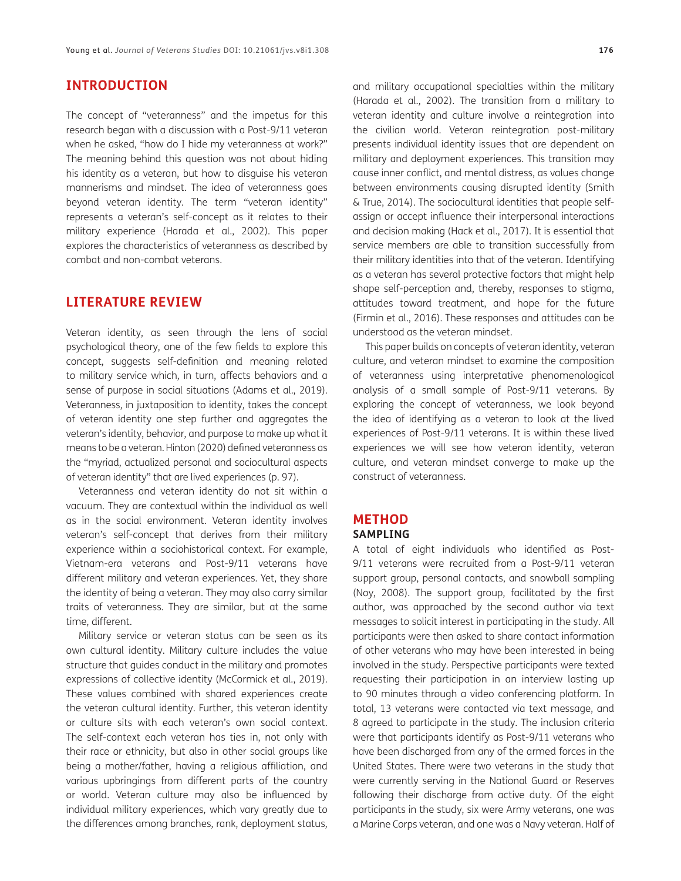## **INTRODUCTION**

The concept of "veteranness" and the impetus for this research began with a discussion with a Post-9/11 veteran when he asked, "how do I hide my veteranness at work?" The meaning behind this question was not about hiding his identity as a veteran, but how to disguise his veteran mannerisms and mindset. The idea of veteranness goes beyond veteran identity. The term "veteran identity" represents a veteran's self-concept as it relates to their military experience [\(Harada et al., 2002\)](#page-9-1). This paper explores the characteristics of veteranness as described by combat and non-combat veterans.

## **LITERATURE REVIEW**

Veteran identity, as seen through the lens of social psychological theory, one of the few fields to explore this concept, suggests self-definition and meaning related to military service which, in turn, affects behaviors and a sense of purpose in social situations (Adams et al., 2019). Veteranness, in juxtaposition to identity, takes the concept of veteran identity one step further and aggregates the veteran's identity, behavior, and purpose to make up what it means to be a veteran. Hinton ([2020\)](#page-9-2) defined veteranness as the "myriad, actualized personal and sociocultural aspects of veteran identity" that are lived experiences (p. 97).

Veteranness and veteran identity do not sit within a vacuum. They are contextual within the individual as well as in the social environment. Veteran identity involves veteran's self-concept that derives from their military experience within a sociohistorical context. For example, Vietnam-era veterans and Post-9/11 veterans have different military and veteran experiences. Yet, they share the identity of being a veteran. They may also carry similar traits of veteranness. They are similar, but at the same time, different.

Military service or veteran status can be seen as its own cultural identity. Military culture includes the value structure that guides conduct in the military and promotes expressions of collective identity ([McCormick et al., 2019\)](#page-9-3). These values combined with shared experiences create the veteran cultural identity. Further, this veteran identity or culture sits with each veteran's own social context. The self-context each veteran has ties in, not only with their race or ethnicity, but also in other social groups like being a mother/father, having a religious affiliation, and various upbringings from different parts of the country or world. Veteran culture may also be influenced by individual military experiences, which vary greatly due to the differences among branches, rank, deployment status, and military occupational specialties within the military [\(Harada et al., 2002\)](#page-9-1). The transition from a military to veteran identity and culture involve a reintegration into the civilian world. Veteran reintegration post-military presents individual identity issues that are dependent on military and deployment experiences. This transition may cause inner conflict, and mental distress, as values change between environments causing disrupted identity (Smith & True, 2014). The sociocultural identities that people selfassign or accept influence their interpersonal interactions and decision making ([Hack et al., 2017\)](#page-9-4). It is essential that service members are able to transition successfully from their military identities into that of the veteran. Identifying as a veteran has several protective factors that might help shape self-perception and, thereby, responses to stigma,

understood as the veteran mindset. This paper builds on concepts of veteran identity, veteran culture, and veteran mindset to examine the composition of veteranness using interpretative phenomenological analysis of a small sample of Post-9/11 veterans. By exploring the concept of veteranness, we look beyond the idea of identifying as a veteran to look at the lived experiences of Post-9/11 veterans. It is within these lived experiences we will see how veteran identity, veteran culture, and veteran mindset converge to make up the construct of veteranness.

attitudes toward treatment, and hope for the future [\(Firmin et al., 2016\)](#page-9-5). These responses and attitudes can be

#### **METHOD SAMPLING**

A total of eight individuals who identified as Post-9/11 veterans were recruited from a Post-9/11 veteran support group, personal contacts, and snowball sampling [\(Noy, 2008\)](#page-10-0). The support group, facilitated by the first author, was approached by the second author via text messages to solicit interest in participating in the study. All participants were then asked to share contact information of other veterans who may have been interested in being involved in the study. Perspective participants were texted requesting their participation in an interview lasting up to 90 minutes through a video conferencing platform. In total, 13 veterans were contacted via text message, and 8 agreed to participate in the study. The inclusion criteria were that participants identify as Post-9/11 veterans who have been discharged from any of the armed forces in the United States. There were two veterans in the study that were currently serving in the National Guard or Reserves following their discharge from active duty. Of the eight participants in the study, six were Army veterans, one was a Marine Corps veteran, and one was a Navy veteran. Half of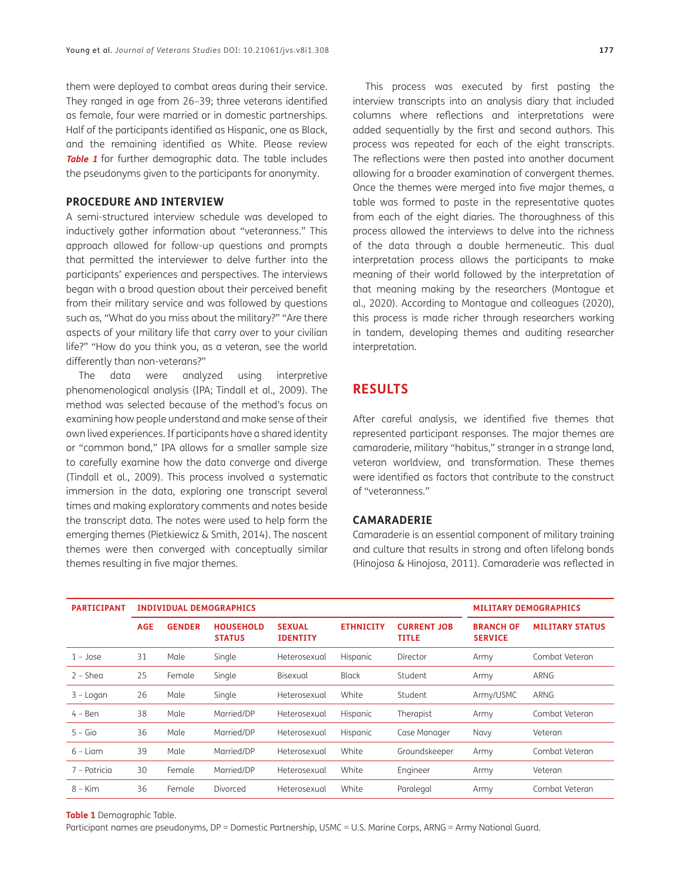them were deployed to combat areas during their service. They ranged in age from 26–39; three veterans identified as female, four were married or in domestic partnerships. Half of the participants identified as Hispanic, one as Black, and the remaining identified as White. Please review **[Table 1](#page-2-0)** for further demographic data. The table includes the pseudonyms given to the participants for anonymity.

#### **PROCEDURE AND INTERVIEW**

A semi-structured interview schedule was developed to inductively gather information about "veteranness." This approach allowed for follow-up questions and prompts that permitted the interviewer to delve further into the participants' experiences and perspectives. The interviews began with a broad question about their perceived benefit from their military service and was followed by questions such as, "What do you miss about the military?" "Are there aspects of your military life that carry over to your civilian life?" "How do you think you, as a veteran, see the world differently than non-veterans?"

The data were analyzed using interpretive phenomenological analysis (IPA; Tindall et al., 2009). The method was selected because of the method's focus on examining how people understand and make sense of their own lived experiences. If participants have a shared identity or "common bond," IPA allows for a smaller sample size to carefully examine how the data converge and diverge (Tindall et al., 2009). This process involved a systematic immersion in the data, exploring one transcript several times and making exploratory comments and notes beside the transcript data. The notes were used to help form the emerging themes ([Pietkiewicz & Smith, 2014](#page-10-1)). The nascent themes were then converged with conceptually similar themes resulting in five major themes.

This process was executed by first pasting the interview transcripts into an analysis diary that included columns where reflections and interpretations were added sequentially by the first and second authors. This process was repeated for each of the eight transcripts. The reflections were then pasted into another document allowing for a broader examination of convergent themes. Once the themes were merged into five major themes, a table was formed to paste in the representative quotes from each of the eight diaries. The thoroughness of this process allowed the interviews to delve into the richness of the data through a double hermeneutic. This dual interpretation process allows the participants to make meaning of their world followed by the interpretation of that meaning making by the researchers [\(Montague et](#page-10-2) [al., 2020\)](#page-10-2). According to Montague and colleagues (2020), this process is made richer through researchers working in tandem, developing themes and auditing researcher interpretation.

## **RESULTS**

After careful analysis, we identified five themes that represented participant responses. The major themes are camaraderie, military "habitus," stranger in a strange land, veteran worldview, and transformation. These themes were identified as factors that contribute to the construct of "veteranness."

#### **CAMARADERIE**

Camaraderie is an essential component of military training and culture that results in strong and often lifelong bonds [\(Hinojosa & Hinojosa, 2011](#page-9-6)). Camaraderie was reflected in

| <b>PARTICIPANT</b> | <b>INDIVIDUAL DEMOGRAPHICS</b> |               |                                   |                                  |                  |                                    | <b>MILITARY DEMOGRAPHICS</b>       |                        |
|--------------------|--------------------------------|---------------|-----------------------------------|----------------------------------|------------------|------------------------------------|------------------------------------|------------------------|
|                    | <b>AGE</b>                     | <b>GENDER</b> | <b>HOUSEHOLD</b><br><b>STATUS</b> | <b>SEXUAL</b><br><b>IDENTITY</b> | <b>ETHNICITY</b> | <b>CURRENT JOB</b><br><b>TITLE</b> | <b>BRANCH OF</b><br><b>SERVICE</b> | <b>MILITARY STATUS</b> |
| $1 - Jose$         | 31                             | Male          | Single                            | Heterosexual                     | Hispanic         | Director                           | Army                               | Combat Veteran         |
| $2 - Shea$         | 25                             | Female        | Single                            | Bisexual                         | <b>Black</b>     | Student                            | Army                               | ARNG                   |
| 3 - Logan          | 26                             | Male          | Single                            | Heterosexual                     | White            | Student                            | Army/USMC                          | ARNG                   |
| $4 - Ben$          | 38                             | Male          | Married/DP                        | Heterosexual                     | Hispanic         | Therapist                          | Army                               | Combat Veteran         |
| $5 - G$ io         | 36                             | Male          | Married/DP                        | Heterosexual                     | Hispanic         | Case Manager                       | Navy                               | Veteran                |
| $6 -$ Liam         | 39                             | Male          | Married/DP                        | Heterosexual                     | White            | Groundskeeper                      | Army                               | Combat Veteran         |
| 7 – Patricia       | 30                             | Female        | Married/DP                        | Heterosexual                     | White            | Engineer                           | Army                               | Veteran                |
| $8 -$ Kim          | 36                             | Female        | Divorced                          | Heterosexual                     | White            | Paralegal                          | Army                               | Combat Veteran         |

<span id="page-2-0"></span>**Table 1** Demographic Table.

Participant names are pseudonyms, DP = Domestic Partnership, USMC = U.S. Marine Corps, ARNG = Army National Guard.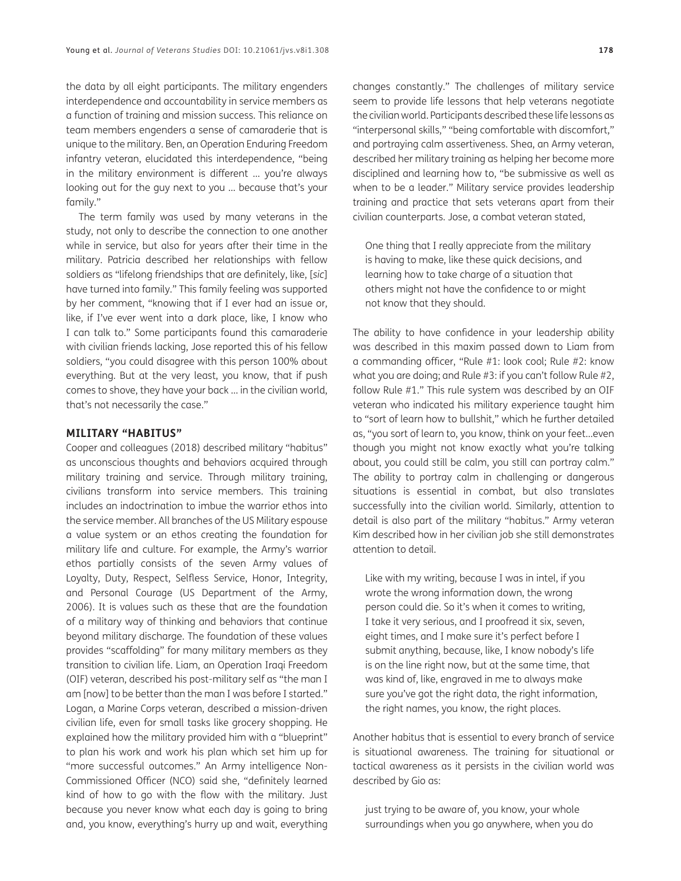the data by all eight participants. The military engenders interdependence and accountability in service members as a function of training and mission success. This reliance on team members engenders a sense of camaraderie that is unique to the military. Ben, an Operation Enduring Freedom infantry veteran, elucidated this interdependence, "being in the military environment is different … you're always looking out for the guy next to you … because that's your family."

The term family was used by many veterans in the study, not only to describe the connection to one another while in service, but also for years after their time in the military. Patricia described her relationships with fellow soldiers as "lifelong friendships that are definitely, like, [*sic*] have turned into family." This family feeling was supported by her comment, "knowing that if I ever had an issue or, like, if I've ever went into a dark place, like, I know who I can talk to." Some participants found this camaraderie with civilian friends lacking, Jose reported this of his fellow soldiers, "you could disagree with this person 100% about everything. But at the very least, you know, that if push comes to shove, they have your back … in the civilian world, that's not necessarily the case."

#### **MILITARY "HABITUS"**

Cooper and colleagues ([2018](#page-9-7)) described military "habitus" as unconscious thoughts and behaviors acquired through military training and service. Through military training, civilians transform into service members. This training includes an indoctrination to imbue the warrior ethos into the service member. All branches of the US Military espouse a value system or an ethos creating the foundation for military life and culture. For example, the Army's warrior ethos partially consists of the seven Army values of Loyalty, Duty, Respect, Selfless Service, Honor, Integrity, and Personal Courage [\(US Department of the Army,](#page-10-3)  [2006](#page-10-3)). It is values such as these that are the foundation of a military way of thinking and behaviors that continue beyond military discharge. The foundation of these values provides "scaffolding" for many military members as they transition to civilian life. Liam, an Operation Iraqi Freedom (OIF) veteran, described his post-military self as "the man I am [now] to be better than the man I was before I started." Logan, a Marine Corps veteran, described a mission-driven civilian life, even for small tasks like grocery shopping. He explained how the military provided him with a "blueprint" to plan his work and work his plan which set him up for "more successful outcomes." An Army intelligence Non-Commissioned Officer (NCO) said she, "definitely learned kind of how to go with the flow with the military. Just because you never know what each day is going to bring and, you know, everything's hurry up and wait, everything

changes constantly." The challenges of military service seem to provide life lessons that help veterans negotiate the civilian world. Participants described these life lessons as "interpersonal skills," "being comfortable with discomfort," and portraying calm assertiveness. Shea, an Army veteran, described her military training as helping her become more disciplined and learning how to, "be submissive as well as when to be a leader." Military service provides leadership training and practice that sets veterans apart from their civilian counterparts. Jose, a combat veteran stated,

One thing that I really appreciate from the military is having to make, like these quick decisions, and learning how to take charge of a situation that others might not have the confidence to or might not know that they should.

The ability to have confidence in your leadership ability was described in this maxim passed down to Liam from a commanding officer, "Rule #1: look cool; Rule #2: know what you are doing; and Rule #3: if you can't follow Rule #2, follow Rule #1." This rule system was described by an OIF veteran who indicated his military experience taught him to "sort of learn how to bullshit," which he further detailed as, "you sort of learn to, you know, think on your feet…even though you might not know exactly what you're talking about, you could still be calm, you still can portray calm." The ability to portray calm in challenging or dangerous situations is essential in combat, but also translates successfully into the civilian world. Similarly, attention to detail is also part of the military "habitus." Army veteran Kim described how in her civilian job she still demonstrates attention to detail.

Like with my writing, because I was in intel, if you wrote the wrong information down, the wrong person could die. So it's when it comes to writing, I take it very serious, and I proofread it six, seven, eight times, and I make sure it's perfect before I submit anything, because, like, I know nobody's life is on the line right now, but at the same time, that was kind of, like, engraved in me to always make sure you've got the right data, the right information, the right names, you know, the right places.

Another habitus that is essential to every branch of service is situational awareness. The training for situational or tactical awareness as it persists in the civilian world was described by Gio as:

just trying to be aware of, you know, your whole surroundings when you go anywhere, when you do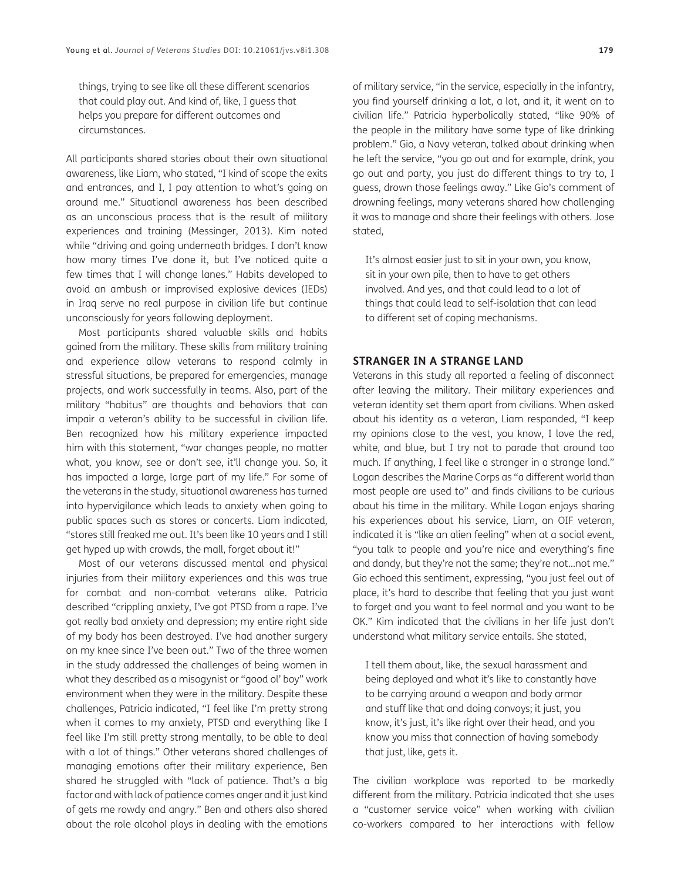things, trying to see like all these different scenarios that could play out. And kind of, like, I guess that helps you prepare for different outcomes and circumstances.

All participants shared stories about their own situational awareness, like Liam, who stated, "I kind of scope the exits and entrances, and I, I pay attention to what's going on around me." Situational awareness has been described as an unconscious process that is the result of military experiences and training ([Messinger, 2013](#page-10-4)). Kim noted while "driving and going underneath bridges. I don't know how many times I've done it, but I've noticed quite a few times that I will change lanes." Habits developed to avoid an ambush or improvised explosive devices (IEDs) in Iraq serve no real purpose in civilian life but continue unconsciously for years following deployment.

Most participants shared valuable skills and habits gained from the military. These skills from military training and experience allow veterans to respond calmly in stressful situations, be prepared for emergencies, manage projects, and work successfully in teams. Also, part of the military "habitus" are thoughts and behaviors that can impair a veteran's ability to be successful in civilian life. Ben recognized how his military experience impacted him with this statement, "war changes people, no matter what, you know, see or don't see, it'll change you. So, it has impacted a large, large part of my life." For some of the veterans in the study, situational awareness has turned into hypervigilance which leads to anxiety when going to public spaces such as stores or concerts. Liam indicated, "stores still freaked me out. It's been like 10 years and I still get hyped up with crowds, the mall, forget about it!"

Most of our veterans discussed mental and physical injuries from their military experiences and this was true for combat and non-combat veterans alike. Patricia described "crippling anxiety, I've got PTSD from a rape. I've got really bad anxiety and depression; my entire right side of my body has been destroyed. I've had another surgery on my knee since I've been out." Two of the three women in the study addressed the challenges of being women in what they described as a misogynist or "good ol' boy" work environment when they were in the military. Despite these challenges, Patricia indicated, "I feel like I'm pretty strong when it comes to my anxiety, PTSD and everything like I feel like I'm still pretty strong mentally, to be able to deal with a lot of things." Other veterans shared challenges of managing emotions after their military experience, Ben shared he struggled with "lack of patience. That's a big factor and with lack of patience comes anger and it just kind of gets me rowdy and angry." Ben and others also shared about the role alcohol plays in dealing with the emotions

of military service, "in the service, especially in the infantry, you find yourself drinking a lot, a lot, and it, it went on to civilian life." Patricia hyperbolically stated, "like 90% of the people in the military have some type of like drinking problem." Gio, a Navy veteran, talked about drinking when he left the service, "you go out and for example, drink, you go out and party, you just do different things to try to, I guess, drown those feelings away." Like Gio's comment of drowning feelings, many veterans shared how challenging it was to manage and share their feelings with others. Jose stated,

It's almost easier just to sit in your own, you know, sit in your own pile, then to have to get others involved. And yes, and that could lead to a lot of things that could lead to self-isolation that can lead to different set of coping mechanisms.

#### **STRANGER IN A STRANGE LAND**

Veterans in this study all reported a feeling of disconnect after leaving the military. Their military experiences and veteran identity set them apart from civilians. When asked about his identity as a veteran, Liam responded, "I keep my opinions close to the vest, you know, I love the red, white, and blue, but I try not to parade that around too much. If anything, I feel like a stranger in a strange land." Logan describes the Marine Corps as "a different world than most people are used to" and finds civilians to be curious about his time in the military. While Logan enjoys sharing his experiences about his service, Liam, an OIF veteran, indicated it is "like an alien feeling" when at a social event, "you talk to people and you're nice and everything's fine and dandy, but they're not the same; they're not…not me." Gio echoed this sentiment, expressing, "you just feel out of place, it's hard to describe that feeling that you just want to forget and you want to feel normal and you want to be OK." Kim indicated that the civilians in her life just don't understand what military service entails. She stated,

I tell them about, like, the sexual harassment and being deployed and what it's like to constantly have to be carrying around a weapon and body armor and stuff like that and doing convoys; it just, you know, it's just, it's like right over their head, and you know you miss that connection of having somebody that just, like, gets it.

The civilian workplace was reported to be markedly different from the military. Patricia indicated that she uses a "customer service voice" when working with civilian co-workers compared to her interactions with fellow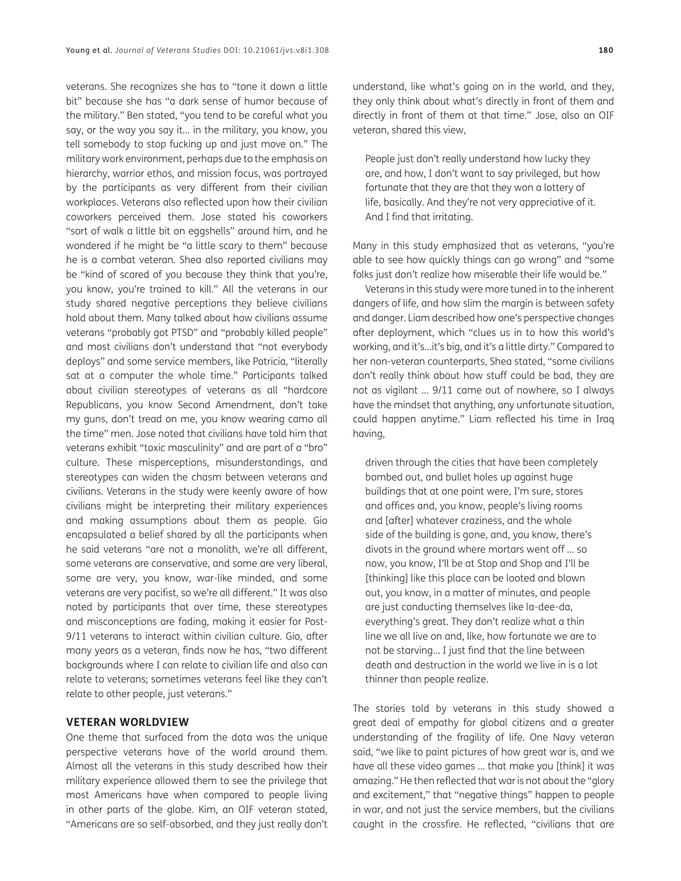veterans. She recognizes she has to "tone it down a little bit" because she has "a dark sense of humor because of the military." Ben stated, "you tend to be careful what you say, or the way you say it… in the military, you know, you tell somebody to stop fucking up and just move on." The military work environment, perhaps due to the emphasis on hierarchy, warrior ethos, and mission focus, was portrayed by the participants as very different from their civilian workplaces. Veterans also reflected upon how their civilian coworkers perceived them. Jose stated his coworkers "sort of walk a little bit on eggshells" around him, and he wondered if he might be "a little scary to them" because he is a combat veteran. Shea also reported civilians may be "kind of scared of you because they think that you're, you know, you're trained to kill." All the veterans in our study shared negative perceptions they believe civilians hold about them. Many talked about how civilians assume veterans "probably got PTSD" and "probably killed people" and most civilians don't understand that "not everybody deploys" and some service members, like Patricia, "literally sat at a computer the whole time." Participants talked about civilian stereotypes of veterans as all "hardcore Republicans, you know Second Amendment, don't take my guns, don't tread on me, you know wearing camo all the time" men. Jose noted that civilians have told him that veterans exhibit "toxic masculinity" and are part of a "bro" culture. These misperceptions, misunderstandings, and stereotypes can widen the chasm between veterans and civilians. Veterans in the study were keenly aware of how civilians might be interpreting their military experiences and making assumptions about them as people. Gio encapsulated a belief shared by all the participants when he said veterans "are not a monolith, we're all different, some veterans are conservative, and some are very liberal, some are very, you know, war-like minded, and some veterans are very pacifist, so we're all different." It was also noted by participants that over time, these stereotypes and misconceptions are fading, making it easier for Post-9/11 veterans to interact within civilian culture. Gio, after many years as a veteran, finds now he has, "two different backgrounds where I can relate to civilian life and also can relate to veterans; sometimes veterans feel like they can't relate to other people, just veterans."

#### **VETERAN WORLDVIEW**

One theme that surfaced from the data was the unique perspective veterans have of the world around them. Almost all the veterans in this study described how their military experience allowed them to see the privilege that most Americans have when compared to people living in other parts of the globe. Kim, an OIF veteran stated, "Americans are so self-absorbed, and they just really don't understand, like what's going on in the world, and they, they only think about what's directly in front of them and directly in front of them at that time." Jose, also an OIF veteran, shared this view,

People just don't really understand how lucky they are, and how, I don't want to say privileged, but how fortunate that they are that they won a lottery of life, basically. And they're not very appreciative of it. And I find that irritating.

Many in this study emphasized that as veterans, "you're able to see how quickly things can go wrong" and "some folks just don't realize how miserable their life would be."

Veterans in this study were more tuned in to the inherent dangers of life, and how slim the margin is between safety and danger. Liam described how one's perspective changes after deployment, which "clues us in to how this world's working, and it's…it's big, and it's a little dirty." Compared to her non-veteran counterparts, Shea stated, "some civilians don't really think about how stuff could be bad, they are not as vigilant … 9/11 came out of nowhere, so I always have the mindset that anything, any unfortunate situation, could happen anytime." Liam reflected his time in Iraq having,

driven through the cities that have been completely bombed out, and bullet holes up against huge buildings that at one point were, I'm sure, stores and offices and, you know, people's living rooms and [after] whatever craziness, and the whole side of the building is gone, and, you know, there's divots in the ground where mortars went off … so now, you know, I'll be at Stop and Shop and I'll be [thinking] like this place can be looted and blown out, you know, in a matter of minutes, and people are just conducting themselves like la-dee-da, everything's great. They don't realize what a thin line we all live on and, like, how fortunate we are to not be starving… I just find that the line between death and destruction in the world we live in is a lot thinner than people realize.

The stories told by veterans in this study showed a great deal of empathy for global citizens and a greater understanding of the fragility of life. One Navy veteran said, "we like to paint pictures of how great war is, and we have all these video games … that make you [think] it was amazing." He then reflected that war is not about the "glory and excitement," that "negative things" happen to people in war, and not just the service members, but the civilians caught in the crossfire. He reflected, "civilians that are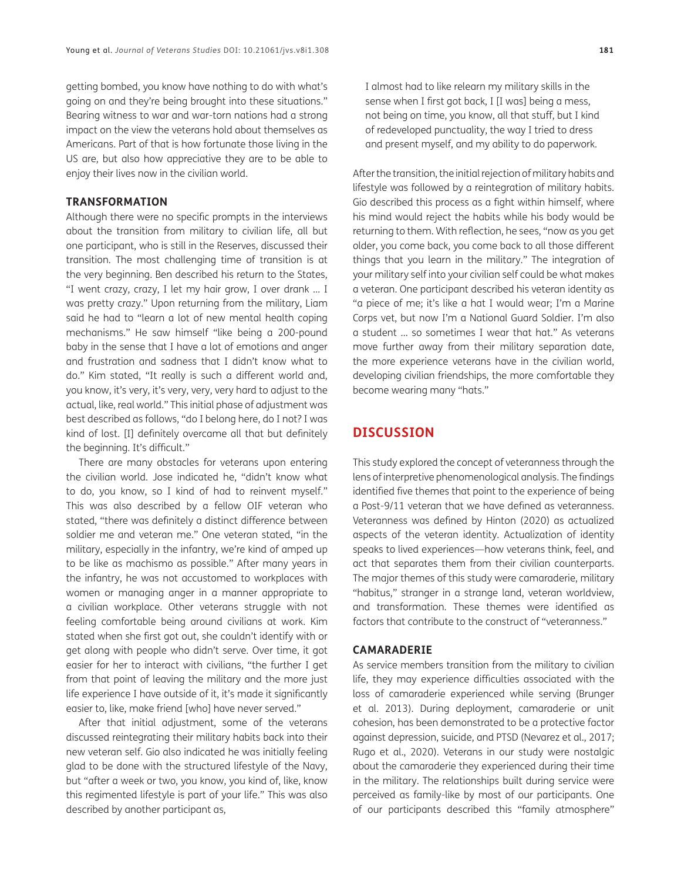getting bombed, you know have nothing to do with what's going on and they're being brought into these situations." Bearing witness to war and war-torn nations had a strong impact on the view the veterans hold about themselves as Americans. Part of that is how fortunate those living in the US are, but also how appreciative they are to be able to enjoy their lives now in the civilian world.

#### **TRANSFORMATION**

Although there were no specific prompts in the interviews about the transition from military to civilian life, all but one participant, who is still in the Reserves, discussed their transition. The most challenging time of transition is at the very beginning. Ben described his return to the States, "I went crazy, crazy, I let my hair grow, I over drank … I was pretty crazy." Upon returning from the military, Liam said he had to "learn a lot of new mental health coping mechanisms." He saw himself "like being a 200-pound baby in the sense that I have a lot of emotions and anger and frustration and sadness that I didn't know what to do." Kim stated, "It really is such a different world and, you know, it's very, it's very, very, very hard to adjust to the actual, like, real world." This initial phase of adjustment was best described as follows, "do I belong here, do I not? I was kind of lost. [I] definitely overcame all that but definitely the beginning. It's difficult."

There are many obstacles for veterans upon entering the civilian world. Jose indicated he, "didn't know what to do, you know, so I kind of had to reinvent myself." This was also described by a fellow OIF veteran who stated, "there was definitely a distinct difference between soldier me and veteran me." One veteran stated, "in the military, especially in the infantry, we're kind of amped up to be like as machismo as possible." After many years in the infantry, he was not accustomed to workplaces with women or managing anger in a manner appropriate to a civilian workplace. Other veterans struggle with not feeling comfortable being around civilians at work. Kim stated when she first got out, she couldn't identify with or get along with people who didn't serve. Over time, it got easier for her to interact with civilians, "the further I get from that point of leaving the military and the more just life experience I have outside of it, it's made it significantly easier to, like, make friend [who] have never served."

After that initial adjustment, some of the veterans discussed reintegrating their military habits back into their new veteran self. Gio also indicated he was initially feeling glad to be done with the structured lifestyle of the Navy, but "after a week or two, you know, you kind of, like, know this regimented lifestyle is part of your life." This was also described by another participant as,

I almost had to like relearn my military skills in the sense when I first got back, I [I was] being a mess, not being on time, you know, all that stuff, but I kind of redeveloped punctuality, the way I tried to dress and present myself, and my ability to do paperwork.

After the transition, the initial rejection of military habits and lifestyle was followed by a reintegration of military habits. Gio described this process as a fight within himself, where his mind would reject the habits while his body would be returning to them. With reflection, he sees, "now as you get older, you come back, you come back to all those different things that you learn in the military." The integration of your military self into your civilian self could be what makes a veteran. One participant described his veteran identity as "a piece of me; it's like a hat I would wear; I'm a Marine Corps vet, but now I'm a National Guard Soldier. I'm also a student … so sometimes I wear that hat." As veterans move further away from their military separation date, the more experience veterans have in the civilian world, developing civilian friendships, the more comfortable they become wearing many "hats."

## **DISCUSSION**

This study explored the concept of veteranness through the lens of interpretive phenomenological analysis. The findings identified five themes that point to the experience of being a Post-9/11 veteran that we have defined as veteranness. Veteranness was defined by Hinton ([2020](#page-9-2)) as actualized aspects of the veteran identity. Actualization of identity speaks to lived experiences—how veterans think, feel, and act that separates them from their civilian counterparts. The major themes of this study were camaraderie, military "habitus," stranger in a strange land, veteran worldview, and transformation. These themes were identified as factors that contribute to the construct of "veteranness."

#### **CAMARADERIE**

As service members transition from the military to civilian life, they may experience difficulties associated with the loss of camaraderie experienced while serving ([Brunger](#page-9-8) [et al. 2013\)](#page-9-8). During deployment, camaraderie or unit cohesion, has been demonstrated to be a protective factor against depression, suicide, and PTSD (Nevarez et al., 2017; [Rugo et al., 2020\)](#page-10-5). Veterans in our study were nostalgic about the camaraderie they experienced during their time in the military. The relationships built during service were perceived as family-like by most of our participants. One of our participants described this "family atmosphere"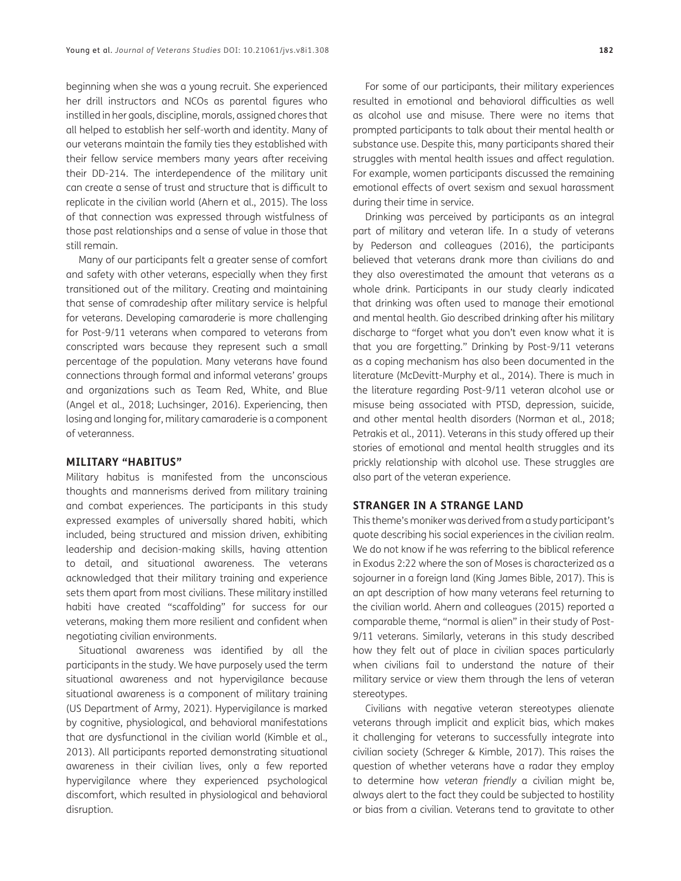beginning when she was a young recruit. She experienced her drill instructors and NCOs as parental figures who instilled in her goals, discipline, morals, assigned chores that all helped to establish her self-worth and identity. Many of our veterans maintain the family ties they established with their fellow service members many years after receiving their DD-214. The interdependence of the military unit can create a sense of trust and structure that is difficult to replicate in the civilian world [\(Ahern et al., 2015\)](#page-9-9). The loss of that connection was expressed through wistfulness of those past relationships and a sense of value in those that still remain.

Many of our participants felt a greater sense of comfort and safety with other veterans, especially when they first transitioned out of the military. Creating and maintaining that sense of comradeship after military service is helpful for veterans. Developing camaraderie is more challenging for Post-9/11 veterans when compared to veterans from conscripted wars because they represent such a small percentage of the population. Many veterans have found connections through formal and informal veterans' groups and organizations such as Team Red, White, and Blue (Angel et al., 2018; [Luchsinger, 2016](#page-9-10)). Experiencing, then losing and longing for, military camaraderie is a component of veteranness.

#### **MILITARY "HABITUS"**

Military habitus is manifested from the unconscious thoughts and mannerisms derived from military training and combat experiences. The participants in this study expressed examples of universally shared habiti, which included, being structured and mission driven, exhibiting leadership and decision-making skills, having attention to detail, and situational awareness. The veterans acknowledged that their military training and experience sets them apart from most civilians. These military instilled habiti have created "scaffolding" for success for our veterans, making them more resilient and confident when negotiating civilian environments.

Situational awareness was identified by all the participants in the study. We have purposely used the term situational awareness and not hypervigilance because situational awareness is a component of military training [\(US Department of Army, 2021\)](#page-10-6). Hypervigilance is marked by cognitive, physiological, and behavioral manifestations that are dysfunctional in the civilian world ([Kimble et al.,](#page-9-11)  [2013](#page-9-11)). All participants reported demonstrating situational awareness in their civilian lives, only a few reported hypervigilance where they experienced psychological discomfort, which resulted in physiological and behavioral disruption.

For some of our participants, their military experiences resulted in emotional and behavioral difficulties as well as alcohol use and misuse. There were no items that prompted participants to talk about their mental health or substance use. Despite this, many participants shared their struggles with mental health issues and affect regulation. For example, women participants discussed the remaining emotional effects of overt sexism and sexual harassment during their time in service.

Drinking was perceived by participants as an integral part of military and veteran life. In a study of veterans by Pederson and colleagues (2016), the participants believed that veterans drank more than civilians do and they also overestimated the amount that veterans as a whole drink. Participants in our study clearly indicated that drinking was often used to manage their emotional and mental health. Gio described drinking after his military discharge to "forget what you don't even know what it is that you are forgetting." Drinking by Post-9/11 veterans as a coping mechanism has also been documented in the literature ([McDevitt-Murphy et al., 2014](#page-9-12)). There is much in the literature regarding Post-9/11 veteran alcohol use or misuse being associated with PTSD, depression, suicide, and other mental health disorders [\(Norman et al., 2018](#page-10-7); [Petrakis et al., 2011](#page-10-8)). Veterans in this study offered up their stories of emotional and mental health struggles and its prickly relationship with alcohol use. These struggles are also part of the veteran experience.

#### **STRANGER IN A STRANGE LAND**

This theme's moniker was derived from a study participant's quote describing his social experiences in the civilian realm. We do not know if he was referring to the biblical reference in Exodus 2:22 where the son of Moses is characterized as a sojourner in a foreign land [\(King James Bible, 2017\)](#page-9-13). This is an apt description of how many veterans feel returning to the civilian world. Ahern and colleagues [\(2015\)](#page-9-9) reported a comparable theme, "normal is alien" in their study of Post-9/11 veterans. Similarly, veterans in this study described how they felt out of place in civilian spaces particularly when civilians fail to understand the nature of their military service or view them through the lens of veteran stereotypes.

Civilians with negative veteran stereotypes alienate veterans through implicit and explicit bias, which makes it challenging for veterans to successfully integrate into civilian society ([Schreger & Kimble, 2017\)](#page-10-9). This raises the question of whether veterans have a radar they employ to determine how *veteran friendly* a civilian might be, always alert to the fact they could be subjected to hostility or bias from a civilian. Veterans tend to gravitate to other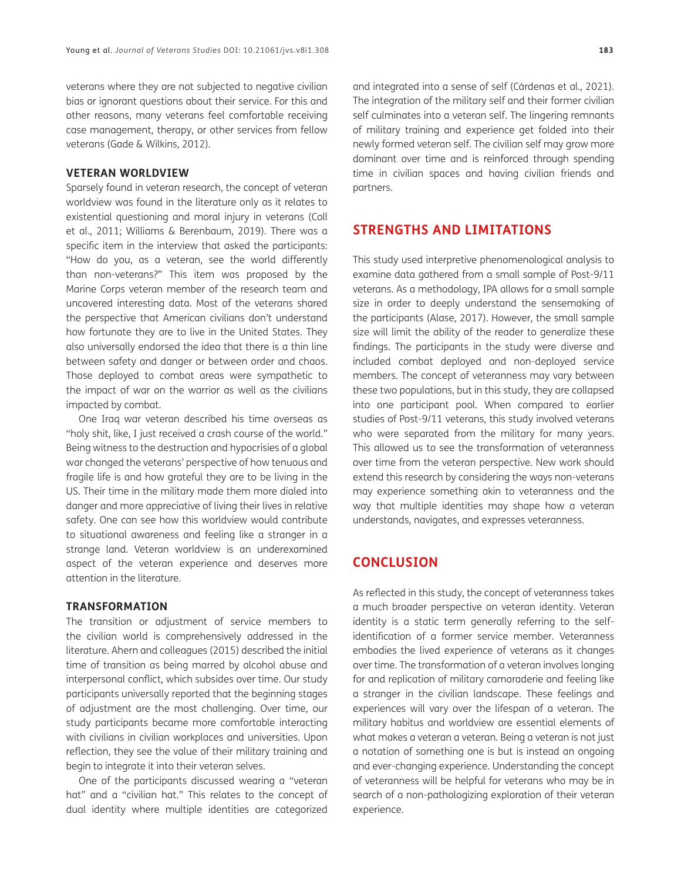veterans where they are not subjected to negative civilian bias or ignorant questions about their service. For this and other reasons, many veterans feel comfortable receiving case management, therapy, or other services from fellow veterans [\(Gade & Wilkins, 2012](#page-9-14)).

#### **VETERAN WORLDVIEW**

Sparsely found in veteran research, the concept of veteran worldview was found in the literature only as it relates to existential questioning and moral injury in veterans [\(Coll](#page-9-15)  [et al., 2011](#page-9-15); [Williams & Berenbaum, 2019\)](#page-10-10). There was a specific item in the interview that asked the participants: "How do you, as a veteran, see the world differently than non-veterans?" This item was proposed by the Marine Corps veteran member of the research team and uncovered interesting data. Most of the veterans shared the perspective that American civilians don't understand how fortunate they are to live in the United States. They also universally endorsed the idea that there is a thin line between safety and danger or between order and chaos. Those deployed to combat areas were sympathetic to the impact of war on the warrior as well as the civilians impacted by combat.

One Iraq war veteran described his time overseas as "holy shit, like, I just received a crash course of the world." Being witness to the destruction and hypocrisies of a global war changed the veterans' perspective of how tenuous and fragile life is and how grateful they are to be living in the US. Their time in the military made them more dialed into danger and more appreciative of living their lives in relative safety. One can see how this worldview would contribute to situational awareness and feeling like a stranger in a strange land. Veteran worldview is an underexamined aspect of the veteran experience and deserves more attention in the literature.

#### **TRANSFORMATION**

The transition or adjustment of service members to the civilian world is comprehensively addressed in the literature. Ahern and colleagues [\(2015](#page-9-9)) described the initial time of transition as being marred by alcohol abuse and interpersonal conflict, which subsides over time. Our study participants universally reported that the beginning stages of adjustment are the most challenging. Over time, our study participants became more comfortable interacting with civilians in civilian workplaces and universities. Upon reflection, they see the value of their military training and begin to integrate it into their veteran selves.

One of the participants discussed wearing a "veteran hat" and a "civilian hat." This relates to the concept of dual identity where multiple identities are categorized and integrated into a sense of self (Cárdenas et al., 2021). The integration of the military self and their former civilian self culminates into a veteran self. The lingering remnants of military training and experience get folded into their newly formed veteran self. The civilian self may grow more dominant over time and is reinforced through spending time in civilian spaces and having civilian friends and partners.

### **STRENGTHS AND LIMITATIONS**

This study used interpretive phenomenological analysis to examine data gathered from a small sample of Post-9/11 veterans. As a methodology, IPA allows for a small sample size in order to deeply understand the sensemaking of the participants ([Alase, 2017](#page-9-16)). However, the small sample size will limit the ability of the reader to generalize these findings. The participants in the study were diverse and included combat deployed and non-deployed service members. The concept of veteranness may vary between these two populations, but in this study, they are collapsed into one participant pool. When compared to earlier studies of Post-9/11 veterans, this study involved veterans who were separated from the military for many years. This allowed us to see the transformation of veteranness over time from the veteran perspective. New work should extend this research by considering the ways non-veterans may experience something akin to veteranness and the way that multiple identities may shape how a veteran understands, navigates, and expresses veteranness.

## **CONCLUSION**

As reflected in this study, the concept of veteranness takes a much broader perspective on veteran identity. Veteran identity is a static term generally referring to the selfidentification of a former service member. Veteranness embodies the lived experience of veterans as it changes over time. The transformation of a veteran involves longing for and replication of military camaraderie and feeling like a stranger in the civilian landscape. These feelings and experiences will vary over the lifespan of a veteran. The military habitus and worldview are essential elements of what makes a veteran a veteran. Being a veteran is not just a notation of something one is but is instead an ongoing and ever-changing experience. Understanding the concept of veteranness will be helpful for veterans who may be in search of a non-pathologizing exploration of their veteran experience.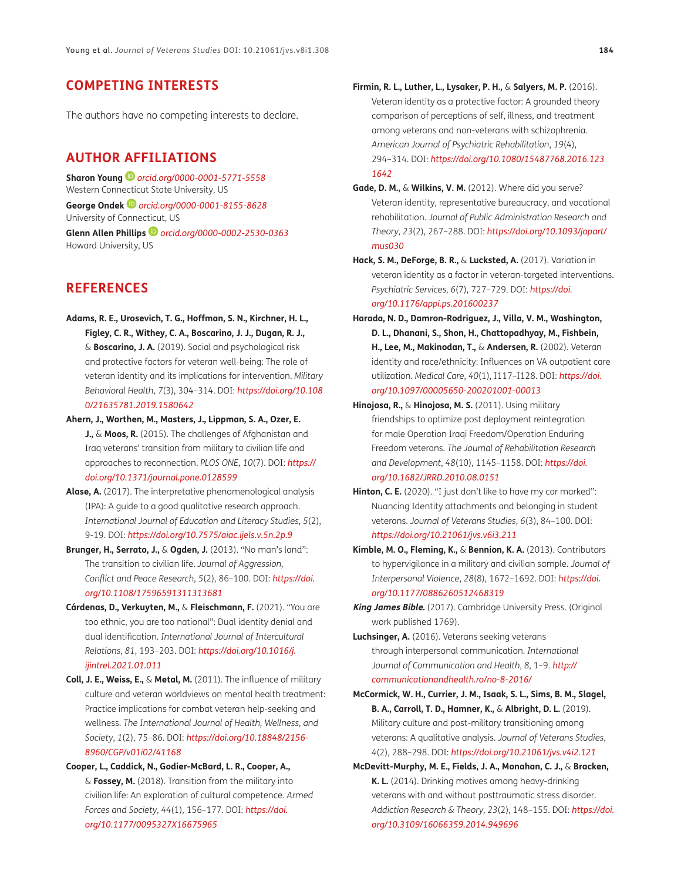## **COMPETING INTERESTS**

The authors have no competing interests to declare.

## <span id="page-9-0"></span>**AUTHOR AFFILIATIONS**

**Sharon Young** *[orcid.org/0000-0001-5771-5558](https://orcid.org/0000-0001-5771-5558)* Western Connecticut State University, US **George Ondek** *[orcid.org/0000-0001-8155-8628](https://orcid.org/0000-0001-8155-8628)* University of Connecticut, US **Glenn Allen Phillips***[orcid.org/0000-0002-2530-0363](https://orcid.org/0000-0002-2530-0363)* Howard University, US

## **REFERENCES**

- **Adams, R. E., Urosevich, T. G., Hoffman, S. N., Kirchner, H. L., Figley, C. R., Withey, C. A., Boscarino, J. J., Dugan, R. J.,** & **Boscarino, J. A.** (2019). Social and psychological risk and protective factors for veteran well-being: The role of veteran identity and its implications for intervention. *Military Behavioral Health*, *7*(3), 304–314. DOI: *[https://doi.org/10.108](https://doi.org/10.1080/21635781.2019.1580642) [0/21635781.2019.1580642](https://doi.org/10.1080/21635781.2019.1580642)*
- <span id="page-9-9"></span>**Ahern, J., Worthen, M., Masters, J., Lippman, S. A., Ozer, E. J.,** & **Moos, R.** (2015). The challenges of Afghanistan and Iraq veterans' transition from military to civilian life and approaches to reconnection. *PLOS ONE*, *10*(7). DOI: *[https://](https://doi.org/10.1371/journal.pone.0128599) [doi.org/10.1371/journal.pone.0128599](https://doi.org/10.1371/journal.pone.0128599)*
- <span id="page-9-16"></span>**Alase, A.** (2017). The interpretative phenomenological analysis (IPA): A guide to a good qualitative research approach. *International Journal of Education and Literacy Studies*, *5*(2), 9-19. DOI: *<https://doi.org/10.7575/aiac.ijels.v.5n.2p.9>*
- <span id="page-9-8"></span>**Brunger, H., Serrato, J.,** & **Ogden, J.** (2013). "No man's land": The transition to civilian life. *Journal of Aggression, Conflict and Peace Research*, *5*(2), 86–100. DOI: *[https://doi.](https://doi.org/10.1108/17596591311313681) [org/10.1108/17596591311313681](https://doi.org/10.1108/17596591311313681)*
- **Cárdenas, D., Verkuyten, M.,** & **Fleischmann, F.** (2021). "You are too ethnic, you are too national": Dual identity denial and dual identification. *International Journal of Intercultural Relations*, *81*, 193–203. DOI: *[https://doi.org/10.1016/j.](https://doi.org/10.1016/j.ijintrel.2021.01.011) [ijintrel.2021.01.011](https://doi.org/10.1016/j.ijintrel.2021.01.011)*
- <span id="page-9-15"></span>**Coll, J. E., Weiss, E.,** & **Metal, M.** (2011). The influence of military culture and veteran worldviews on mental health treatment: Practice implications for combat veteran help-seeking and wellness. *The International Journal of Health, Wellness, and Society*, *1*(2), 75–86. DOI: *[https://doi.org/10.18848/2156-](https://doi.org/10.18848/2156-8960/CGP/v01i02/41168) [8960/CGP/v01i02/41168](https://doi.org/10.18848/2156-8960/CGP/v01i02/41168)*
- <span id="page-9-7"></span>**Cooper, L., Caddick, N., Godier-McBard, L. R., Cooper, A.,**  & **Fossey, M.** (2018). Transition from the military into civilian life: An exploration of cultural competence. *Armed Forces and Society*, *44*(1), 156–177*.* DOI: *[https://doi.](https://doi.org/10.1177/0095327X16675965) [org/10.1177/0095327X16675965](https://doi.org/10.1177/0095327X16675965)*
- <span id="page-9-5"></span>**Firmin, R. L., Luther, L., Lysaker, P. H.,** & **Salyers, M. P.** (2016). Veteran identity as a protective factor: A grounded theory comparison of perceptions of self, illness, and treatment among veterans and non-veterans with schizophrenia. *American Journal of Psychiatric Rehabilitation*, *19*(4), 294–314. DOI: *[https://doi.org/10.1080/15487768.2016.123](https://doi.org/10.1080/15487768.2016.1231642) [1642](https://doi.org/10.1080/15487768.2016.1231642)*
- <span id="page-9-14"></span>**Gade, D. M.,** & **Wilkins, V. M.** (2012). Where did you serve? Veteran identity, representative bureaucracy, and vocational rehabilitation. *Journal of Public Administration Research and Theory*, *23*(2), 267–288. DOI: *[https://doi.org/10.1093/jopart/](https://doi.org/10.1093/jopart/mus030) [mus030](https://doi.org/10.1093/jopart/mus030)*
- <span id="page-9-4"></span>**Hack, S. M., DeForge, B. R.,** & **Lucksted, A.** (2017). Variation in veteran identity as a factor in veteran-targeted interventions. *Psychiatric Services, 6*(7), 727–729. DOI: *[https://doi.](https://doi.org/10.1176/appi.ps.201600237) [org/10.1176/appi.ps.201600237](https://doi.org/10.1176/appi.ps.201600237)*
- <span id="page-9-1"></span>**Harada, N. D., Damron-Rodriguez, J., Villa, V. M., Washington, D. L., Dhanani, S., Shon, H., Chattopadhyay, M., Fishbein, H., Lee, M., Makinodan, T.,** & **Andersen, R.** (2002). Veteran identity and race/ethnicity: Influences on VA outpatient care utilization. *Medical Care*, *40*(1), I117–I128. DOI: *[https://doi.](https://doi.org/10.1097/00005650-200201001-00013) [org/10.1097/00005650-200201001-00013](https://doi.org/10.1097/00005650-200201001-00013)*
- <span id="page-9-6"></span>**Hinojosa, R.,** & **Hinojosa, M. S.** (2011). Using military friendships to optimize post deployment reintegration for male Operation Iraqi Freedom/Operation Enduring Freedom veterans. *The Journal of Rehabilitation Research and Development*, *48*(10), 1145–1158. DOI: *[https://doi.](https://doi.org/10.1682/JRRD.2010.08.0151) [org/10.1682/JRRD.2010.08.0151](https://doi.org/10.1682/JRRD.2010.08.0151)*
- <span id="page-9-2"></span>Hinton, C. E. (2020). "I just don't like to have my car marked": Nuancing Identity attachments and belonging in student veterans. *Journal of Veterans Studies*, *6*(3), 84–100. DOI: *<https://doi.org/10.21061/jvs.v6i3.211>*
- <span id="page-9-11"></span>**Kimble, M. O., Fleming, K.,** & **Bennion, K. A.** (2013). Contributors to hypervigilance in a military and civilian sample. *Journal of Interpersonal Violence*, *28*(8), 1672–1692. DOI: *[https://doi.](https://doi.org/10.1177/0886260512468319) [org/10.1177/0886260512468319](https://doi.org/10.1177/0886260512468319)*
- <span id="page-9-13"></span>**King James Bible.** (2017). Cambridge University Press. (Original work published 1769).
- <span id="page-9-10"></span>**Luchsinger, A.** (2016). Veterans seeking veterans through interpersonal communication. *International Journal of Communication and Health*, *8,* 1–9. *[http://](http://communicationandhealth.ro/no-8-2016/) [communicationandhealth.ro/no-8-2016/](http://communicationandhealth.ro/no-8-2016/)*
- <span id="page-9-3"></span>**McCormick, W. H., Currier, J. M., Isaak, S. L., Sims, B. M., Slagel, B. A., Carroll, T. D., Hamner, K.,** & **Albright, D. L.** (2019). Military culture and post-military transitioning among veterans: A qualitative analysis. *Journal of Veterans Studies*, *4*(2), 288–298. DOI: *<https://doi.org/10.21061/jvs.v4i2.121>*
- <span id="page-9-12"></span>**McDevitt-Murphy, M. E., Fields, J. A., Monahan, C. J.,** & **Bracken, K. L.** (2014). Drinking motives among heavy-drinking veterans with and without posttraumatic stress disorder. *Addiction Research & Theory*, *23*(2), 148–155. DOI: *[https://doi.](https://doi.org/10.3109/16066359.2014.949696) [org/10.3109/16066359.2014.949696](https://doi.org/10.3109/16066359.2014.949696)*